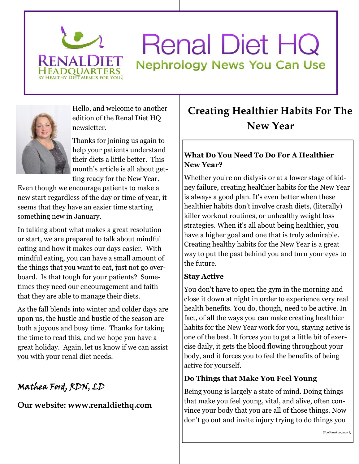

## **Renal Diet HQ Nephrology News You Can Use**



Hello, and welcome to another edition of the Renal Diet HQ newsletter.

Thanks for joining us again to help your patients understand their diets a little better. This month's article is all about getting ready for the New Year.

Even though we encourage patients to make a new start regardless of the day or time of year, it seems that they have an easier time starting something new in January.

In talking about what makes a great resolution or start, we are prepared to talk about mindful eating and how it makes our days easier. With mindful eating, you can have a small amount of the things that you want to eat, just not go overboard. Is that tough for your patients? Sometimes they need our encouragement and faith that they are able to manage their diets.

As the fall blends into winter and colder days are upon us, the hustle and bustle of the season are both a joyous and busy time. Thanks for taking the time to read this, and we hope you have a great holiday. Again, let us know if we can assist you with your renal diet needs.

### **Mathea Ford, RDN, LD**

#### **Our website: www.renaldiethq.com**

## **Creating Healthier Habits For The New Year**

#### **What Do You Need To Do For A Healthier New Year?**

Whether you're on dialysis or at a lower stage of kidney failure, creating healthier habits for the New Year is always a good plan. It's even better when these healthier habits don't involve crash diets, (literally) killer workout routines, or unhealthy weight loss strategies. When it's all about being healthier, you have a higher goal and one that is truly admirable. Creating healthy habits for the New Year is a great way to put the past behind you and turn your eyes to the future.

#### **Stay Active**

You don't have to open the gym in the morning and close it down at night in order to experience very real health benefits. You do, though, need to be active. In fact, of all the ways you can make creating healthier habits for the New Year work for you, staying active is one of the best. It forces you to get a little bit of exercise daily, it gets the blood flowing throughout your body, and it forces you to feel the benefits of being active for yourself.

#### **Do Things that Make You Feel Young**

Being young is largely a state of mind. Doing things that make you feel young, vital, and alive, often convince your body that you are all of those things. Now don't go out and invite injury trying to do things you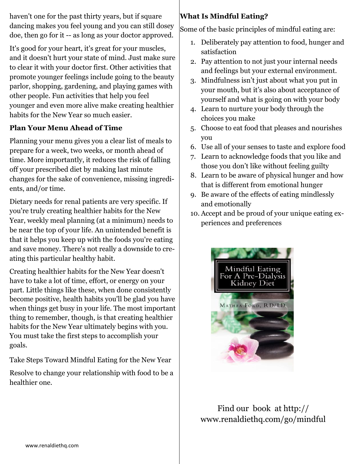haven't one for the past thirty years, but if square dancing makes you feel young and you can still dosey doe, then go for it -- as long as your doctor approved.

It's good for your heart, it's great for your muscles, and it doesn't hurt your state of mind. Just make sure to clear it with your doctor first. Other activities that promote younger feelings include going to the beauty parlor, shopping, gardening, and playing games with other people. Fun activities that help you feel younger and even more alive make creating healthier habits for the New Year so much easier.

#### **Plan Your Menu Ahead of Time**

Planning your menu gives you a clear list of meals to prepare for a week, two weeks, or month ahead of time. More importantly, it reduces the risk of falling off your prescribed diet by making last minute changes for the sake of convenience, missing ingredients, and/or time.

Dietary needs for renal patients are very specific. If you're truly creating healthier habits for the New Year, weekly meal planning (at a minimum) needs to be near the top of your life. An unintended benefit is that it helps you keep up with the foods you're eating and save money. There's not really a downside to creating this particular healthy habit.

Creating healthier habits for the New Year doesn't have to take a lot of time, effort, or energy on your part. Little things like these, when done consistently become positive, health habits you'll be glad you have when things get busy in your life. The most important thing to remember, though, is that creating healthier habits for the New Year ultimately begins with you. You must take the first steps to accomplish your goals.

Take Steps Toward Mindful Eating for the New Year

Resolve to change your relationship with food to be a healthier one.

#### **What Is Mindful Eating?**

Some of the basic principles of mindful eating are:

- 1. Deliberately pay attention to food, hunger and satisfaction
- 2. Pay attention to not just your internal needs and feelings but your external environment.
- 3. Mindfulness isn't just about what you put in your mouth, but it's also about acceptance of yourself and what is going on with your body
- 4. Learn to nurture your body through the choices you make
- 5. Choose to eat food that pleases and nourishes you
- 6. Use all of your senses to taste and explore food
- 7. Learn to acknowledge foods that you like and those you don't like without feeling guilty
- 8. Learn to be aware of physical hunger and how that is different from emotional hunger
- 9. Be aware of the effects of eating mindlessly and emotionally
- 10. Accept and be proud of your unique eating experiences and preferences



Find our book at http:// www.renaldiethq.com/go/mindful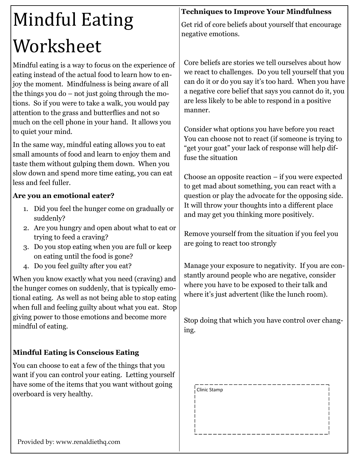# Mindful Eating Worksheet

Mindful eating is a way to focus on the experience of eating instead of the actual food to learn how to enjoy the moment. Mindfulness is being aware of all the things you do – not just going through the motions. So if you were to take a walk, you would pay attention to the grass and butterflies and not so much on the cell phone in your hand. It allows you to quiet your mind.

In the same way, mindful eating allows you to eat small amounts of food and learn to enjoy them and taste them without gulping them down. When you slow down and spend more time eating, you can eat less and feel fuller.

#### **Are you an emotional eater?**

- 1. Did you feel the hunger come on gradually or suddenly?
- 2. Are you hungry and open about what to eat or trying to feed a craving?
- 3. Do you stop eating when you are full or keep on eating until the food is gone?
- 4. Do you feel guilty after you eat?

When you know exactly what you need (craving) and the hunger comes on suddenly, that is typically emotional eating. As well as not being able to stop eating when full and feeling guilty about what you eat. Stop giving power to those emotions and become more mindful of eating.

#### **Mindful Eating is Conscious Eating**

You can choose to eat a few of the things that you want if you can control your eating. Letting yourself have some of the items that you want without going overboard is very healthy.

#### **Techniques to Improve Your Mindfulness**

Get rid of core beliefs about yourself that encourage negative emotions.

Core beliefs are stories we tell ourselves about how we react to challenges. Do you tell yourself that you can do it or do you say it's too hard. When you have a negative core belief that says you cannot do it, you are less likely to be able to respond in a positive manner.

Consider what options you have before you react You can choose not to react (if someone is trying to "get your goat" your lack of response will help diffuse the situation

Choose an opposite reaction – if you were expected to get mad about something, you can react with a question or play the advocate for the opposing side. It will throw your thoughts into a different place and may get you thinking more positively.

Remove yourself from the situation if you feel you are going to react too strongly

Manage your exposure to negativity. If you are constantly around people who are negative, consider where you have to be exposed to their talk and where it's just advertent (like the lunch room).

Stop doing that which you have control over changing.

Clinic Stamp